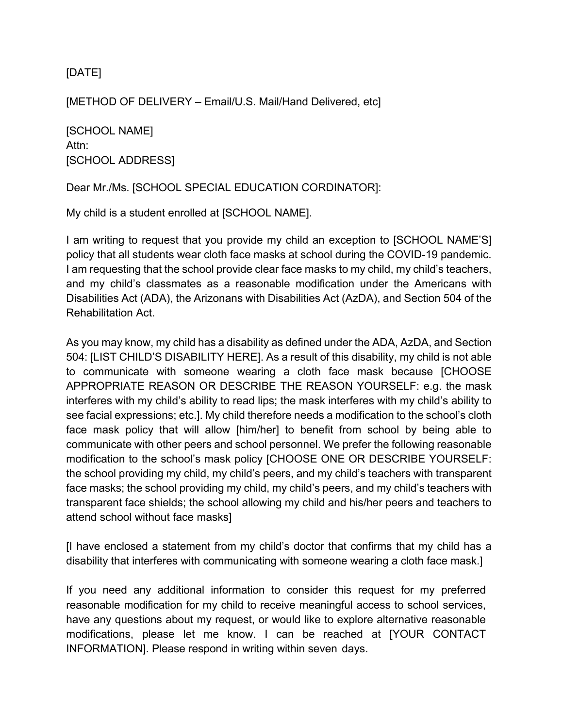## [DATE]

[METHOD OF DELIVERY – Email/U.S. Mail/Hand Delivered, etc]

[SCHOOL NAME] Attn: [SCHOOL ADDRESS]

Dear Mr./Ms. [SCHOOL SPECIAL EDUCATION CORDINATOR]:

My child is a student enrolled at [SCHOOL NAME].

I am writing to request that you provide my child an exception to [SCHOOL NAME'S] policy that all students wear cloth face masks at school during the COVID-19 pandemic. I am requesting that the school provide clear face masks to my child, my child's teachers, and my child's classmates as a reasonable modification under the Americans with Disabilities Act (ADA), the Arizonans with Disabilities Act (AzDA), and Section 504 of the Rehabilitation Act.

As you may know, my child has a disability as defined under the ADA, AzDA, and Section 504: [LIST CHILD'S DISABILITY HERE]. As a result of this disability, my child is not able to communicate with someone wearing a cloth face mask because [CHOOSE APPROPRIATE REASON OR DESCRIBE THE REASON YOURSELF: e.g. the mask interferes with my child's ability to read lips; the mask interferes with my child's ability to see facial expressions; etc.]. My child therefore needs a modification to the school's cloth face mask policy that will allow [him/her] to benefit from school by being able to communicate with other peers and school personnel. We prefer the following reasonable modification to the school's mask policy [CHOOSE ONE OR DESCRIBE YOURSELF: the school providing my child, my child's peers, and my child's teachers with transparent face masks; the school providing my child, my child's peers, and my child's teachers with transparent face shields; the school allowing my child and his/her peers and teachers to attend school without face masks]

[I have enclosed a statement from my child's doctor that confirms that my child has a disability that interferes with communicating with someone wearing a cloth face mask.]

If you need any additional information to consider this request for my preferred reasonable modification for my child to receive meaningful access to school services, have any questions about my request, or would like to explore alternative reasonable modifications, please let me know. I can be reached at [YOUR CONTACT INFORMATION]. Please respond in writing within seven days.